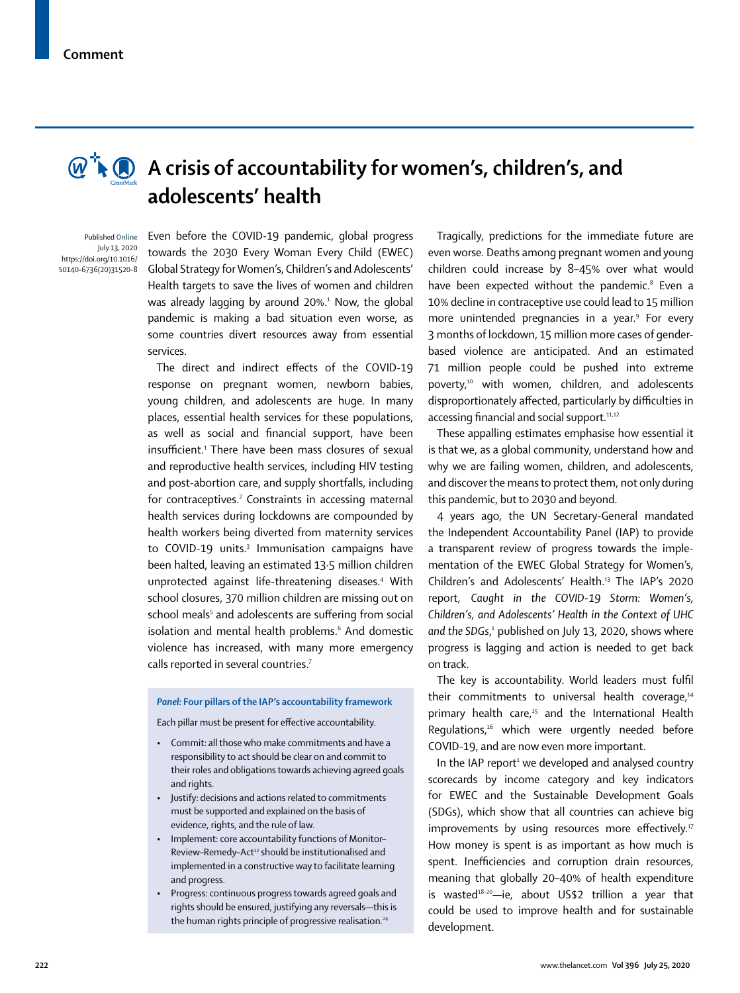

## **A** crisis of accountability for women's, children's, and **adolescents' health**

Published **Online** July 13, 2020 https://doi.org/10.1016/ S0140-6736(20)31520-8

Even before the COVID-19 pandemic, global progress towards the 2030 Every Woman Every Child (EWEC) Global Strategy for Women's, Children's and Adolescents' Health targets to save the lives of women and children was already lagging by around 20%.<sup>1</sup> Now, the global pandemic is making a bad situation even worse, as some countries divert resources away from essential services.

The direct and indirect effects of the COVID-19 response on pregnant women, newborn babies, young children, and adolescents are huge. In many places, essential health services for these populations, as well as social and financial support, have been insufficient.<sup>1</sup> There have been mass closures of sexual and reproductive health services, including HIV testing and post-abortion care, and supply shortfalls, including for contraceptives.<sup>2</sup> Constraints in accessing maternal health services during lockdowns are compounded by health workers being diverted from maternity services to COVID-19 units.<sup>3</sup> Immunisation campaigns have been halted, leaving an estimated 13·5 million children unprotected against life-threatening diseases.4 With school closures, 370 million children are missing out on school meals<sup>5</sup> and adolescents are suffering from social isolation and mental health problems.<sup>6</sup> And domestic violence has increased, with many more emergency calls reported in several countries.<sup>7</sup>

## *Panel:* **Four pillars of the IAP's accountability framework**

Each pillar must be present for effective accountability.

- *•* Commit: all those who make commitments and have a responsibility to act should be clear on and commit to their roles and obligations towards achieving agreed goals and rights.
- *•* Justify: decisions and actions related to commitments must be supported and explained on the basis of evidence, rights, and the rule of law.
- *•* Implement: core accountability functions of Monitor– Review-Remedy-Act<sup>12</sup> should be institutionalised and implemented in a constructive way to facilitate learning and progress.
- *•* Progress: continuous progress towards agreed goals and rights should be ensured, justifying any reversals—this is the human rights principle of progressive realisation.<sup>24</sup>

Tragically, predictions for the immediate future are even worse. Deaths among pregnant women and young children could increase by 8–45% over what would have been expected without the pandemic.<sup>8</sup> Even a 10% decline in contraceptive use could lead to 15 million more unintended pregnancies in a year.<sup>9</sup> For every 3 months of lockdown, 15 million more cases of genderbased violence are anticipated. And an estimated 71 million people could be pushed into extreme poverty,10 with women, children, and adolescents disproportionately affected, particularly by difficulties in accessing financial and social support.<sup>11,12</sup>

These appalling estimates emphasise how essential it is that we, as a global community, understand how and why we are failing women, children, and adolescents, and discover the means to protect them, not only during this pandemic, but to 2030 and beyond.

4 years ago, the UN Secretary-General mandated the Independent Accountability Panel (IAP) to provide a transparent review of progress towards the implementation of the EWEC Global Strategy for Women's, Children's and Adolescents' Health.13 The IAP's 2020 report, *Caught in the COVID-19 Storm: Women's, Children's, and Adolescents' Health in the Context of UHC*  and the SDGs,<sup>1</sup> published on July 13, 2020, shows where progress is lagging and action is needed to get back on track.

The key is accountability. World leaders must fulfil their commitments to universal health coverage, $14$ primary health care,<sup>15</sup> and the International Health Regulations,<sup>16</sup> which were urgently needed before COVID-19, and are now even more important.

In the IAP report<sup>1</sup> we developed and analysed country scorecards by income category and key indicators for EWEC and the Sustainable Development Goals (SDGs), which show that all countries can achieve big improvements by using resources more effectively.<sup>17</sup> How money is spent is as important as how much is spent. Inefficiencies and corruption drain resources, meaning that globally 20–40% of health expenditure is wasted $18-20$ -ie, about US\$2 trillion a year that could be used to improve health and for sustainable development.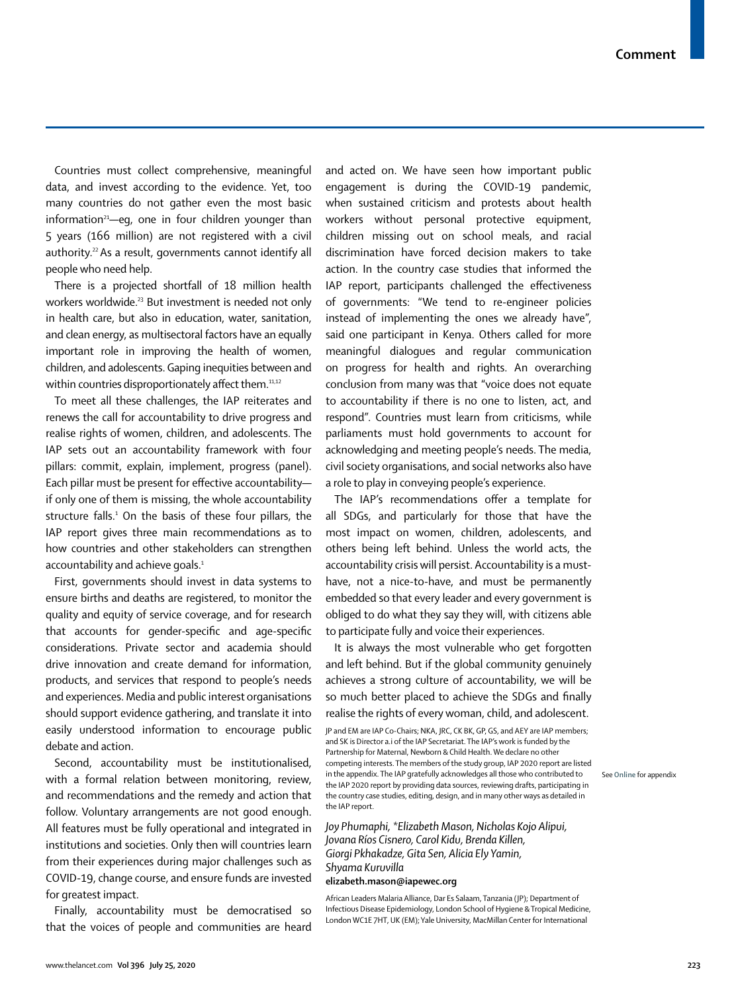Countries must collect comprehensive, meaningful data, and invest according to the evidence. Yet, too many countries do not gather even the most basic information $21$ —eg, one in four children younger than 5 years (166 million) are not registered with a civil authority.<sup>22</sup> As a result, governments cannot identify all people who need help.

There is a projected shortfall of 18 million health workers worldwide.<sup>23</sup> But investment is needed not only in health care, but also in education, water, sanitation, and clean energy, as multisectoral factors have an equally important role in improving the health of women, children, and adolescents. Gaping inequities between and within countries disproportionately affect them.<sup>11,12</sup>

To meet all these challenges, the IAP reiterates and renews the call for accountability to drive progress and realise rights of women, children, and adolescents. The IAP sets out an accountability framework with four pillars: commit, explain, implement, progress (panel). Each pillar must be present for effective accountability if only one of them is missing, the whole accountability structure falls.<sup>1</sup> On the basis of these four pillars, the IAP report gives three main recommendations as to how countries and other stakeholders can strengthen accountability and achieve goals.<sup>1</sup>

First, governments should invest in data systems to ensure births and deaths are registered, to monitor the quality and equity of service coverage, and for research that accounts for gender-specific and age-specific considerations. Private sector and academia should drive innovation and create demand for information, products, and services that respond to people's needs and experiences. Media and public interest organisations should support evidence gathering, and translate it into easily understood information to encourage public debate and action.

Second, accountability must be institutionalised, with a formal relation between monitoring, review, and recommendations and the remedy and action that follow. Voluntary arrangements are not good enough. All features must be fully operational and integrated in institutions and societies. Only then will countries learn from their experiences during major challenges such as COVID-19, change course, and ensure funds are invested for greatest impact.

Finally, accountability must be democratised so that the voices of people and communities are heard and acted on. We have seen how important public engagement is during the COVID-19 pandemic, when sustained criticism and protests about health workers without personal protective equipment, children missing out on school meals, and racial discrimination have forced decision makers to take action. In the country case studies that informed the IAP report, participants challenged the effectiveness of governments: "We tend to re-engineer policies instead of implementing the ones we already have", said one participant in Kenya. Others called for more meaningful dialogues and regular communication on progress for health and rights. An overarching conclusion from many was that "voice does not equate to accountability if there is no one to listen, act, and respond". Countries must learn from criticisms, while parliaments must hold governments to account for acknowledging and meeting people's needs. The media, civil society organisations, and social networks also have a role to play in conveying people's experience.

The IAP's recommendations offer a template for all SDGs, and particularly for those that have the most impact on women, children, adolescents, and others being left behind. Unless the world acts, the accountability crisis will persist. Accountability is a musthave, not a nice-to-have, and must be permanently embedded so that every leader and every government is obliged to do what they say they will, with citizens able to participate fully and voice their experiences.

It is always the most vulnerable who get forgotten and left behind. But if the global community genuinely achieves a strong culture of accountability, we will be so much better placed to achieve the SDGs and finally realise the rights of every woman, child, and adolescent.

JP and EM are IAP Co-Chairs; NKA, JRC, CK BK, GP, GS, and AEY are IAP members; and SK is Director a.i of the IAP Secretariat. The IAP's work is funded by the Partnership for Maternal, Newborn & Child Health. We declare no other competing interests. The members of the study group, IAP 2020 report are listed in the appendix. The IAP gratefully acknowledges all those who contributed to the IAP 2020 report by providing data sources, reviewing drafts, participating in the country case studies, editing, design, and in many other ways as detailed in the IAP report.

See **Online** for appendix

*Joy Phumaphi, \*Elizabeth Mason, Nicholas Kojo Alipui, Jovana Ríos Cisnero, Carol Kidu, Brenda Killen, Giorgi Pkhakadze, Gita Sen, Alicia Ely Yamin, Shyama Kuruvilla*

## **elizabeth.mason@iapewec.org**

African Leaders Malaria Alliance, Dar Es Salaam, Tanzania (JP); Department of Infectious Disease Epidemiology, London School of Hygiene & Tropical Medicine, London WC1E 7HT, UK (EM); Yale University, MacMillan Center for International